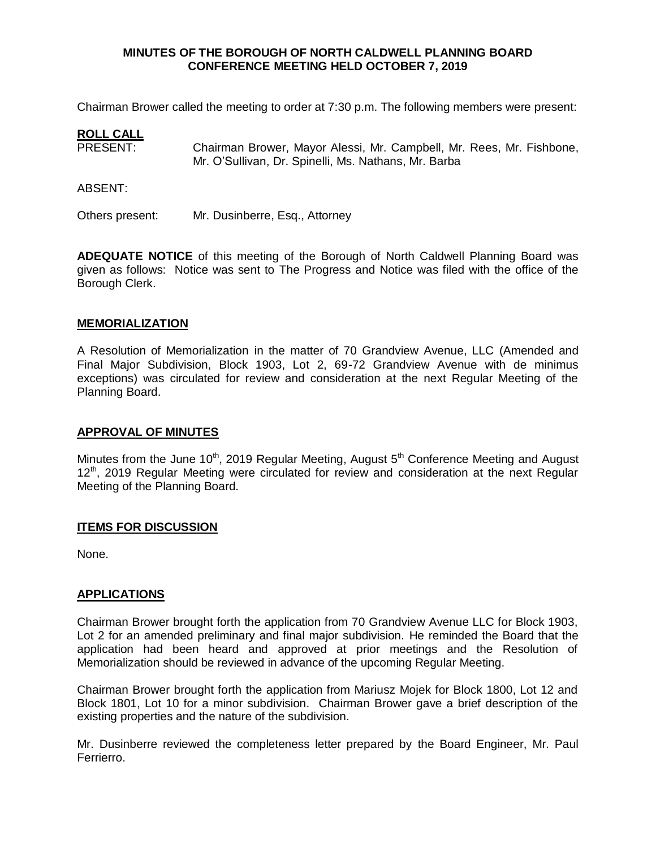### **MINUTES OF THE BOROUGH OF NORTH CALDWELL PLANNING BOARD CONFERENCE MEETING HELD OCTOBER 7, 2019**

Chairman Brower called the meeting to order at 7:30 p.m. The following members were present:

### **ROLL CALL**

PRESENT: Chairman Brower, Mayor Alessi, Mr. Campbell, Mr. Rees, Mr. Fishbone, Mr. O'Sullivan, Dr. Spinelli, Ms. Nathans, Mr. Barba

ABSENT:

Others present: Mr. Dusinberre, Esq., Attorney

**ADEQUATE NOTICE** of this meeting of the Borough of North Caldwell Planning Board was given as follows: Notice was sent to The Progress and Notice was filed with the office of the Borough Clerk.

#### **MEMORIALIZATION**

A Resolution of Memorialization in the matter of 70 Grandview Avenue, LLC (Amended and Final Major Subdivision, Block 1903, Lot 2, 69-72 Grandview Avenue with de minimus exceptions) was circulated for review and consideration at the next Regular Meeting of the Planning Board.

#### **APPROVAL OF MINUTES**

Minutes from the June 10<sup>th</sup>, 2019 Regular Meeting, August 5<sup>th</sup> Conference Meeting and August 12<sup>th</sup>, 2019 Regular Meeting were circulated for review and consideration at the next Regular Meeting of the Planning Board.

#### **ITEMS FOR DISCUSSION**

None.

#### **APPLICATIONS**

Chairman Brower brought forth the application from 70 Grandview Avenue LLC for Block 1903, Lot 2 for an amended preliminary and final major subdivision. He reminded the Board that the application had been heard and approved at prior meetings and the Resolution of Memorialization should be reviewed in advance of the upcoming Regular Meeting.

Chairman Brower brought forth the application from Mariusz Mojek for Block 1800, Lot 12 and Block 1801, Lot 10 for a minor subdivision. Chairman Brower gave a brief description of the existing properties and the nature of the subdivision.

Mr. Dusinberre reviewed the completeness letter prepared by the Board Engineer, Mr. Paul Ferrierro.